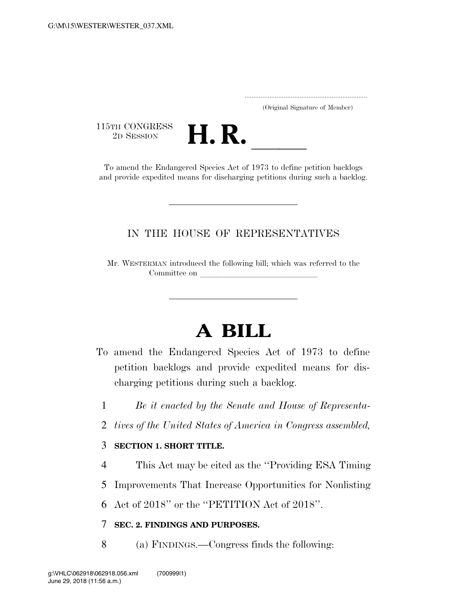..................................................................... (Original Signature of Member)

115TH CONGRESS<br>2D SESSION



<sup>5</sup>TH CONGRESS<br>
2D SESSION **H. R.** <u>Indiangered Species Act of 1973</u> to define petition backlogs and provide expedited means for discharging petitions during such a backlog.

## IN THE HOUSE OF REPRESENTATIVES

Mr. WESTERMAN introduced the following bill; which was referred to the Committee on

## **A BILL**

- To amend the Endangered Species Act of 1973 to define petition backlogs and provide expedited means for discharging petitions during such a backlog.
	- 1 *Be it enacted by the Senate and House of Representa-*
	- 2 *tives of the United States of America in Congress assembled,*

## 3 **SECTION 1. SHORT TITLE.**

4 This Act may be cited as the ''Providing ESA Timing

5 Improvements That Increase Opportunities for Nonlisting

6 Act of 2018'' or the ''PETITION Act of 2018''.

## 7 **SEC. 2. FINDINGS AND PURPOSES.**

8 (a) FINDINGS.—Congress finds the following: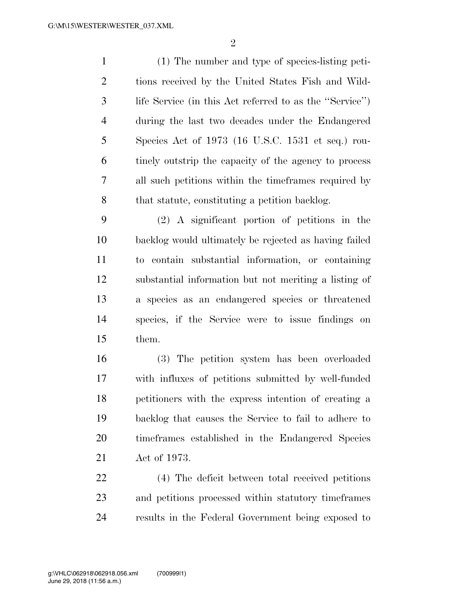(1) The number and type of species-listing peti- tions received by the United States Fish and Wild- life Service (in this Act referred to as the ''Service'') during the last two decades under the Endangered Species Act of 1973 (16 U.S.C. 1531 et seq.) rou- tinely outstrip the capacity of the agency to process all such petitions within the timeframes required by 8 that statute, constituting a petition backlog.

 (2) A significant portion of petitions in the backlog would ultimately be rejected as having failed to contain substantial information, or containing substantial information but not meriting a listing of a species as an endangered species or threatened species, if the Service were to issue findings on them.

 (3) The petition system has been overloaded with influxes of petitions submitted by well-funded petitioners with the express intention of creating a backlog that causes the Service to fail to adhere to timeframes established in the Endangered Species Act of 1973.

 (4) The deficit between total received petitions and petitions processed within statutory timeframes results in the Federal Government being exposed to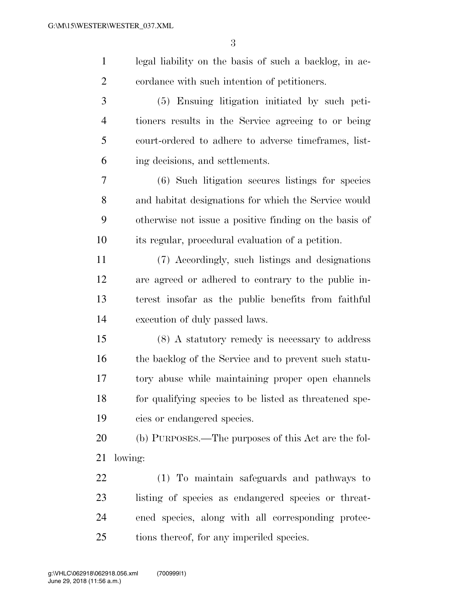legal liability on the basis of such a backlog, in ac-cordance with such intention of petitioners.

 (5) Ensuing litigation initiated by such peti- tioners results in the Service agreeing to or being court-ordered to adhere to adverse timeframes, list-ing decisions, and settlements.

 (6) Such litigation secures listings for species and habitat designations for which the Service would otherwise not issue a positive finding on the basis of its regular, procedural evaluation of a petition.

 (7) Accordingly, such listings and designations are agreed or adhered to contrary to the public in- terest insofar as the public benefits from faithful execution of duly passed laws.

 (8) A statutory remedy is necessary to address the backlog of the Service and to prevent such statu- tory abuse while maintaining proper open channels for qualifying species to be listed as threatened spe-cies or endangered species.

 (b) PURPOSES.—The purposes of this Act are the fol-lowing:

 (1) To maintain safeguards and pathways to listing of species as endangered species or threat- ened species, along with all corresponding protec-25 tions thereof, for any imperiled species.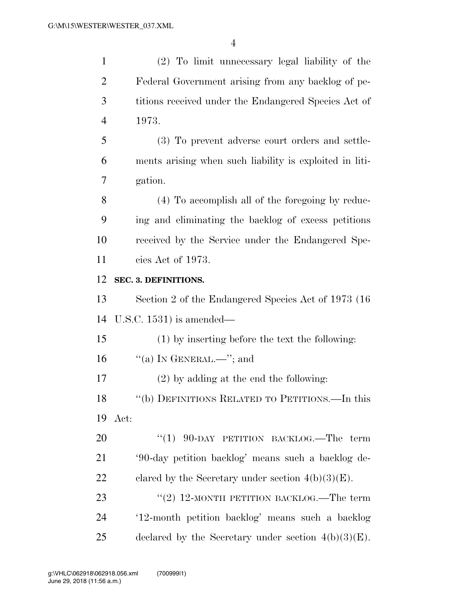| $\mathbf{1}$   | (2) To limit unnecessary legal liability of the         |
|----------------|---------------------------------------------------------|
| $\overline{2}$ | Federal Government arising from any backlog of pe-      |
| 3              | titions received under the Endangered Species Act of    |
| $\overline{4}$ | 1973.                                                   |
| 5              | (3) To prevent adverse court orders and settle-         |
| 6              | ments arising when such liability is exploited in liti- |
| $\overline{7}$ | gation.                                                 |
| 8              | (4) To accomplish all of the foregoing by reduc-        |
| 9              | ing and eliminating the backlog of excess petitions     |
| 10             | received by the Service under the Endangered Spe-       |
| 11             | cies Act of 1973.                                       |
| 12             | SEC. 3. DEFINITIONS.                                    |
| 13             | Section 2 of the Endangered Species Act of 1973 (16)    |
| 14             | U.S.C. $1531$ ) is amended—                             |
| 15             | (1) by inserting before the text the following:         |
| 16             | "(a) IN GENERAL.—"; and                                 |
| 17             | $(2)$ by adding at the end the following:               |
| 18             | "(b) DEFINITIONS RELATED TO PETITIONS.—In this          |
| 19             | Act:                                                    |
| 20             | "(1) $90$ -DAY PETITION BACKLOG.—The term               |
| 21             | '90-day petition backlog' means such a backlog de-      |
| 22             | clared by the Secretary under section $4(b)(3)(E)$ .    |
| 23             | "(2) 12-MONTH PETITION BACKLOG.—The term                |
| 24             | '12-month petition backlog' means such a backlog        |
| 25             | declared by the Secretary under section $4(b)(3)(E)$ .  |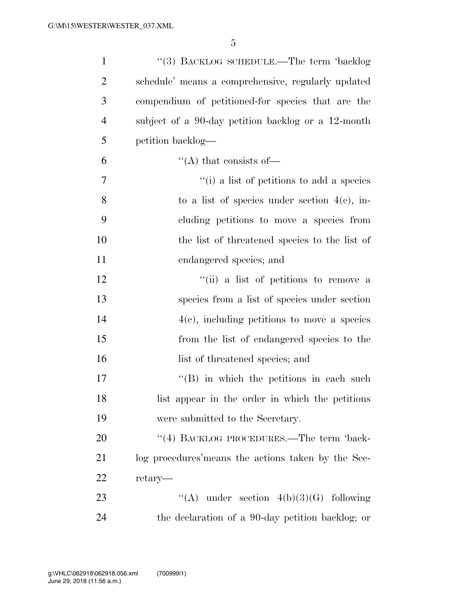| $\mathbf{1}$   | "(3) BACKLOG SCHEDULE.—The term 'backlog                      |
|----------------|---------------------------------------------------------------|
| $\overline{2}$ | schedule' means a comprehensive, regularly updated            |
| 3              | compendium of petitioned-for species that are the             |
| $\overline{4}$ | subject of a 90-day petition backlog or a 12-month            |
| 5              | petition backlog—                                             |
| 6              | "(A) that consists of $\overline{\phantom{a}}$                |
| 7              | $\cdot$ <sup>"</sup> (i) a list of petitions to add a species |
| 8              | to a list of species under section $4(c)$ , in-               |
| 9              | cluding petitions to move a species from                      |
| 10             | the list of threatened species to the list of                 |
| 11             | endangered species; and                                       |
| 12             | "(ii) a list of petitions to remove a                         |
| 13             | species from a list of species under section                  |
| 14             | $4(e)$ , including petitions to move a species                |
| 15             | from the list of endangered species to the                    |
| 16             | list of threatened species; and                               |
| 17             | $\lq\lq$ (B) in which the petitions in each such              |
| 18             | list appear in the order in which the petitions               |
| 19             | were submitted to the Secretary.                              |
| 20             | "(4) BACKLOG PROCEDURES.—The term 'back-                      |
| 21             | log procedures' means the actions taken by the Sec-           |
| 22             | retary—                                                       |
| 23             | "(A) under section $4(b)(3)(G)$ following                     |
| 24             | the declaration of a 90-day petition backlog; or              |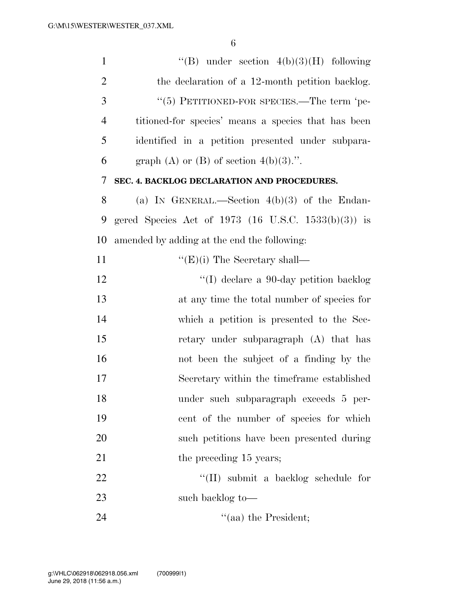| $\mathbf{1}$   | "(B) under section $4(b)(3)(H)$ following           |
|----------------|-----------------------------------------------------|
| $\overline{2}$ | the declaration of a 12-month petition backlog.     |
| 3              | "(5) PETITIONED-FOR SPECIES.—The term 'pe-          |
| $\overline{4}$ | titioned-for species' means a species that has been |
| 5              | identified in a petition presented under subpara-   |
| 6              | graph (A) or (B) of section $4(b)(3)$ .".           |
| 7              | SEC. 4. BACKLOG DECLARATION AND PROCEDURES.         |
| 8              | (a) IN GENERAL.—Section $4(b)(3)$ of the Endan-     |
| 9              | gered Species Act of 1973 (16 U.S.C. 1533(b)(3)) is |
| 10             | amended by adding at the end the following:         |
| 11             | $\lq\lq (E)(i)$ The Secretary shall—                |
| 12             | "(I) declare a 90-day petition backlog"             |
| 13             | at any time the total number of species for         |
| 14             | which a petition is presented to the Sec-           |
| 15             | retary under subparagraph (A) that has              |
| 16             | not been the subject of a finding by the            |
| 17             | Secretary within the time frame established         |
| 18             | under such subparagraph exceeds 5 per-              |
| 19             | cent of the number of species for which             |
| 20             | such petitions have been presented during           |
| 21             | the preceding 15 years;                             |
| 22             | "(II) submit a backlog schedule for                 |
| 23             | such backlog to-                                    |
| 24             | "(aa) the President;                                |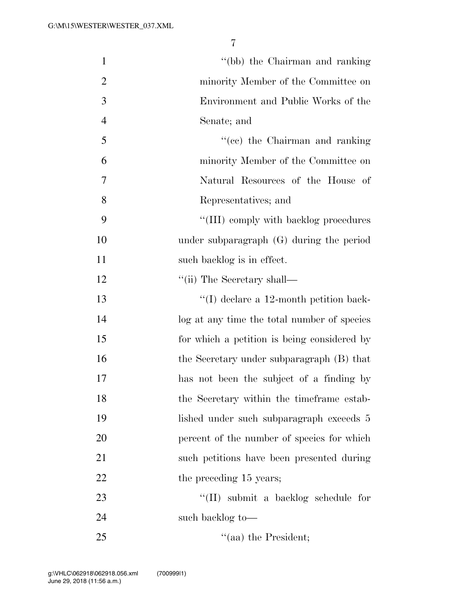| $\mathbf{1}$   | "(bb) the Chairman and ranking              |
|----------------|---------------------------------------------|
| $\overline{2}$ | minority Member of the Committee on         |
| 3              | Environment and Public Works of the         |
| $\overline{4}$ | Senate; and                                 |
| 5              | "(cc) the Chairman and ranking              |
| 6              | minority Member of the Committee on         |
| 7              | Natural Resources of the House of           |
| 8              | Representatives; and                        |
| 9              | "(III) comply with backlog procedures       |
| 10             | under subparagraph $(G)$ during the period  |
| 11             | such backlog is in effect.                  |
| 12             | $\lq\lq$ (ii) The Secretary shall—          |
| 13             | $\lq\lq$ declare a 12-month petition back-  |
| 14             | log at any time the total number of species |
| 15             | for which a petition is being considered by |
| 16             | the Secretary under subparagraph (B) that   |
| 17             | has not been the subject of a finding by    |
| 18             | the Secretary within the timeframe estab-   |
| 19             | lished under such subparagraph exceeds 5    |
| 20             | percent of the number of species for which  |
| 21             | such petitions have been presented during   |
| 22             | the preceding 15 years;                     |
| 23             | "(II) submit a backlog schedule for         |
| 24             | such backlog to—                            |
| 25             | $\cdot$ (aa) the President;                 |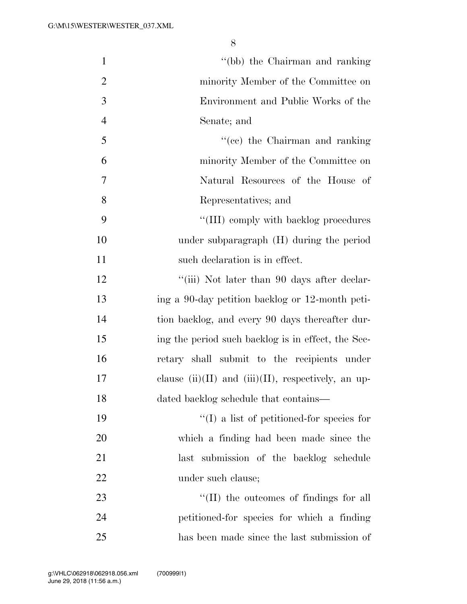| $\mathbf{1}$   | "(bb) the Chairman and ranking                           |
|----------------|----------------------------------------------------------|
| $\overline{2}$ | minority Member of the Committee on                      |
| 3              | Environment and Public Works of the                      |
| $\overline{4}$ | Senate; and                                              |
| 5              | "(cc) the Chairman and ranking                           |
| 6              | minority Member of the Committee on                      |
| 7              | Natural Resources of the House of                        |
| 8              | Representatives; and                                     |
| 9              | "(III) comply with backlog procedures                    |
| 10             | under subparagraph (H) during the period                 |
| 11             | such declaration is in effect.                           |
| 12             | "(iii) Not later than 90 days after declar-              |
| 13             | ing a 90-day petition backlog or 12-month peti-          |
| 14             | tion backlog, and every 90 days thereafter dur-          |
| 15             | ing the period such backlog is in effect, the Sec-       |
| 16             | retary shall submit to the recipients under              |
| 17             | clause $(ii)(II)$ and $(iii)(II)$ , respectively, an up- |
| 18             | dated backlog schedule that contains-                    |
| 19             | $\lq\lq$ (I) a list of petitioned-for species for        |
| 20             | which a finding had been made since the                  |
| 21             | last submission of the backlog schedule                  |
| 22             | under such clause;                                       |
| 23             | $\lq\lq$ (II) the outcomes of findings for all           |
| 24             | petitioned-for species for which a finding               |
| 25             | has been made since the last submission of               |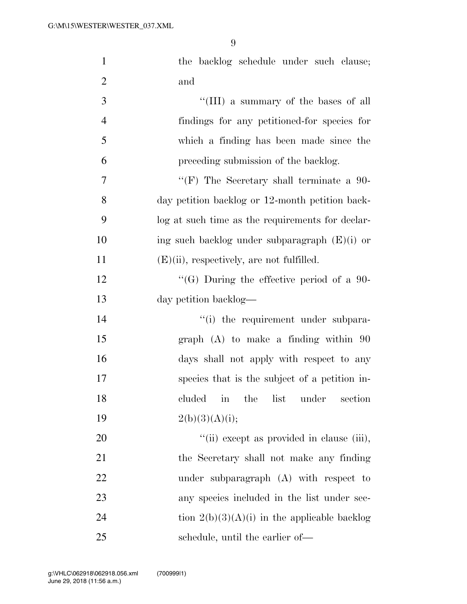| $\mathbf{1}$     | the backlog schedule under such clause;          |
|------------------|--------------------------------------------------|
| $\overline{2}$   | and                                              |
| 3                | "(III) a summary of the bases of all             |
| $\overline{4}$   | findings for any petitioned-for species for      |
| 5                | which a finding has been made since the          |
| 6                | preceding submission of the backlog.             |
| $\boldsymbol{7}$ | "(F) The Secretary shall terminate a $90-$       |
| 8                | day petition backlog or 12-month petition back-  |
| 9                | log at such time as the requirements for declar- |
| 10               | ing such backlog under subparagraph $(E)(i)$ or  |
| 11               | $(E)(ii)$ , respectively, are not fulfilled.     |
| 12               | "(G) During the effective period of a 90-        |
| 13               | day petition backlog—                            |
| 14               | "(i) the requirement under subpara-              |
| 15               | $graph$ (A) to make a finding within $90$        |
| 16               | days shall not apply with respect to any         |
| 17               | species that is the subject of a petition in-    |
| 18               | cluded in the list under<br>section              |
| 19               | 2(b)(3)(A)(i);                                   |
| 20               | "(ii) except as provided in clause (iii),        |
| 21               | the Secretary shall not make any finding         |
| 22               | under subparagraph $(A)$ with respect to         |
| 23               | any species included in the list under sec-      |
| 24               | tion $2(b)(3)(A)(i)$ in the applicable backlog   |
| 25               | schedule, until the earlier of-                  |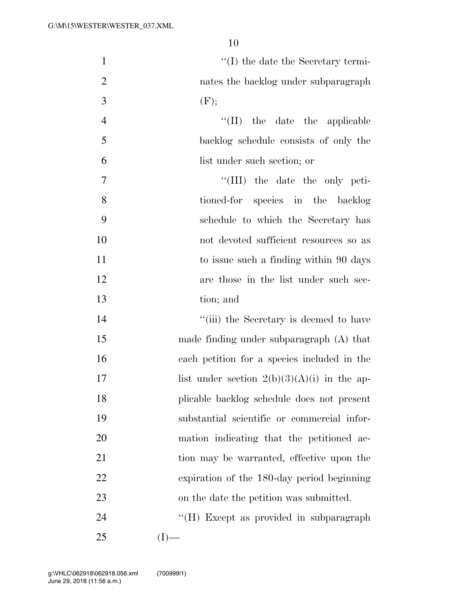| $\mathbf{1}$   | $\lq\lq$ the date the Secretary termi-        |
|----------------|-----------------------------------------------|
| $\mathbf{2}$   | nates the backlog under subparagraph          |
| $\mathfrak{Z}$ | (F);                                          |
| $\overline{4}$ | "(II) the date the applicable                 |
| 5              | backlog schedule consists of only the         |
| 6              | list under such section; or                   |
| $\tau$         | "(III) the date the only peti-                |
| 8              | tioned-for species in the backlog             |
| 9              | schedule to which the Secretary has           |
| 10             | not devoted sufficient resources so as        |
| 11             | to issue such a finding within 90 days        |
| 12             | are those in the list under such sec-         |
| 13             | tion; and                                     |
| 14             | "(iii) the Secretary is deemed to have        |
| 15             | made finding under subparagraph (A) that      |
| 16             | each petition for a species included in the   |
| 17             | list under section $2(b)(3)(A)(i)$ in the ap- |
| 18             | plicable backlog schedule does not present    |
| 19             | substantial scientific or commercial infor-   |
| 20             | mation indicating that the petitioned ac-     |
| 21             | tion may be warranted, effective upon the     |
| 22             | expiration of the 180-day period beginning    |
| 23             | on the date the petition was submitted.       |
| 24             | "(H) Except as provided in subparagraph       |
| 25             | (I)                                           |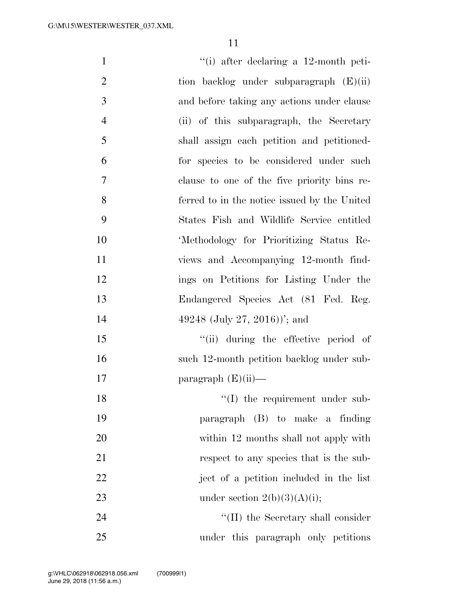| $\mathbf{1}$   | $``(i)$ after declaring a 12-month peti-     |
|----------------|----------------------------------------------|
| $\overline{2}$ | tion backlog under subparagraph $(E)(ii)$    |
| 3              | and before taking any actions under clause   |
| $\overline{4}$ | (ii) of this subparagraph, the Secretary     |
| 5              | shall assign each petition and petitioned-   |
| 6              | for species to be considered under such      |
| $\tau$         | clause to one of the five priority bins re-  |
| 8              | ferred to in the notice issued by the United |
| 9              | States Fish and Wildlife Service entitled    |
| 10             | 'Methodology for Prioritizing Status Re-     |
| 11             | views and Accompanying 12-month find-        |
| 12             | ings on Petitions for Listing Under the      |
| 13             | Endangered Species Act (81 Fed. Reg.         |
| 14             | 49248 (July 27, 2016))'; and                 |
| 15             | "(ii) during the effective period of         |
| 16             | such 12-month petition backlog under sub-    |
| 17             | paragraph $(E)(ii)$ —                        |
| 18             | $\lq\lq$ (I) the requirement under sub-      |
| 19             | paragraph (B) to make a finding              |
| 20             | within 12 months shall not apply with        |
| 21             | respect to any species that is the sub-      |
| 22             | ject of a petition included in the list      |
| 23             | under section $2(b)(3)(A)(i);$               |
| 24             | $\lq$ (II) the Secretary shall consider      |
| 25             | under this paragraph only petitions          |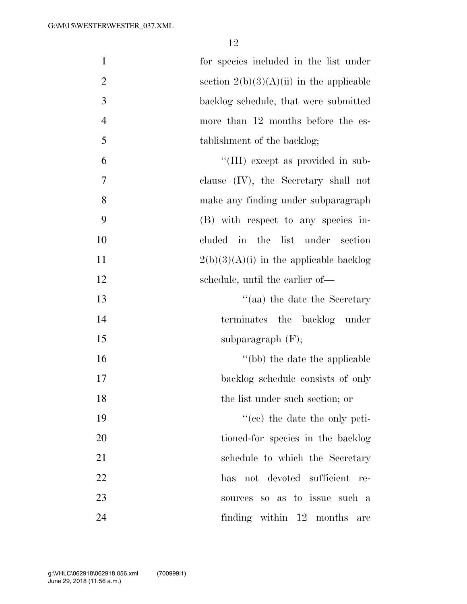| $\mathbf{1}$   | for species included in the list under     |
|----------------|--------------------------------------------|
| $\overline{2}$ | section $2(b)(3)(A)(ii)$ in the applicable |
| 3              | backlog schedule, that were submitted      |
| $\overline{4}$ | more than 12 months before the es-         |
| 5              | tablishment of the backlog;                |
| 6              | "(III) except as provided in sub-          |
| 7              | clause $(IV)$ , the Secretary shall not    |
| 8              | make any finding under subparagraph        |
| 9              | (B) with respect to any species in-        |
| 10             | cluded in the list under section           |
| 11             | $2(b)(3)(A)(i)$ in the applicable backlog  |
| 12             | schedule, until the earlier of—            |
| 13             | "(aa) the date the Secretary               |
| 14             | terminates the backlog under               |
| 15             | subparagraph $(F)$ ;                       |
| 16             | "(bb) the date the applicable              |
| 17             | backlog schedule consists of only          |
| 18             | the list under such section; or            |
| 19             | $f''(ce)$ the date the only peti-          |
| 20             | tioned-for species in the backlog          |
| 21             | schedule to which the Secretary            |
| 22             | has not devoted sufficient re-             |
| 23             | sources so as to issue such a              |
| 24             | finding within 12 months<br>are            |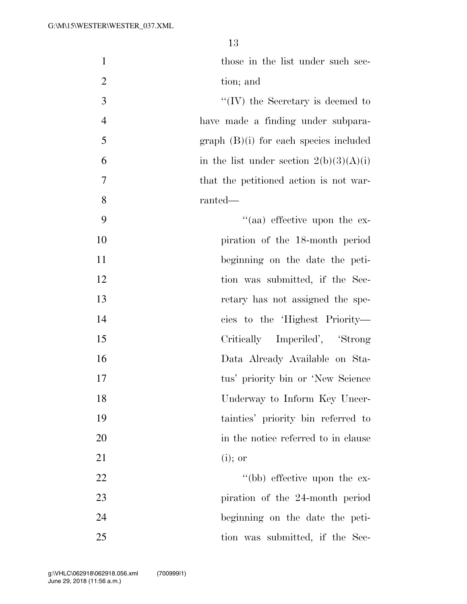| $\mathbf{1}$   | those in the list under such sec-         |
|----------------|-------------------------------------------|
| $\overline{2}$ | tion; and                                 |
| 3              | $\lq\lq$ (IV) the Secretary is deemed to  |
| $\overline{4}$ | have made a finding under subpara-        |
| 5              | $graph$ (B)(i) for each species included  |
| 6              | in the list under section $2(b)(3)(A)(i)$ |
| $\overline{7}$ | that the petitioned action is not war-    |
| 8              | ranted—                                   |
| 9              | "(aa) effective upon the ex-              |
| 10             | piration of the 18-month period           |
| 11             | beginning on the date the peti-           |
| 12             | tion was submitted, if the Sec-           |
| 13             | retary has not assigned the spe-          |
| 14             | cies to the 'Highest Priority—            |
| 15             | Critically Imperiled', 'Strong            |
| 16             | Data Already Available on Sta-            |
| 17             | tus' priority bin or 'New Science         |
| 18             | Underway to Inform Key Uncer-             |
| 19             | tainties' priority bin referred to        |
| 20             | in the notice referred to in clause       |
| 21             | $(i)$ ; or                                |
| 22             | "(bb) effective upon the ex-              |
| 23             | piration of the 24-month period           |
| 24             | beginning on the date the peti-           |
| 25             | tion was submitted, if the Sec-           |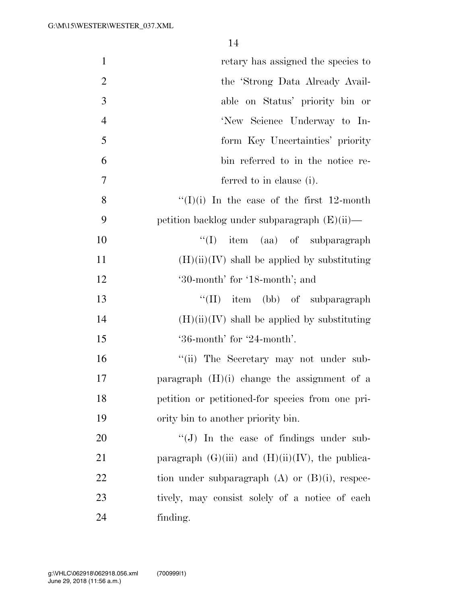| $\mathbf{1}$   | retary has assigned the species to                    |
|----------------|-------------------------------------------------------|
| $\overline{2}$ | the 'Strong Data Already Avail-                       |
| 3              | able on Status' priority bin or                       |
| $\overline{4}$ | 'New Science Underway to In-                          |
| 5              | form Key Uncertainties' priority                      |
| 6              | bin referred to in the notice re-                     |
| $\overline{7}$ | ferred to in clause (i).                              |
| 8              | "(I)(i) In the case of the first 12-month             |
| 9              | petition backlog under subparagraph $(E)(ii)$ —       |
| 10             | "(I) item (aa) of subparagraph                        |
| 11             | $(H)(ii)(IV)$ shall be applied by substituting        |
| 12             | '30-month' for '18-month'; and                        |
| 13             | $\lq\lq$ (II) item (bb) of subparagraph               |
| 14             | $(H)(ii)(IV)$ shall be applied by substituting        |
| 15             | '36-month' for '24-month'.                            |
| 16             | "(ii) The Secretary may not under sub-                |
| 17             | paragraph $(H)(i)$ change the assignment of a         |
| 18             | petition or petitioned-for species from one pri-      |
| 19             | ority bin to another priority bin.                    |
| 20             | $\lq\lq(J)$ In the case of findings under sub-        |
| 21             | paragraph $(G)(iii)$ and $(H)(ii)(IV)$ , the publica- |
| 22             | tion under subparagraph $(A)$ or $(B)(i)$ , respec-   |
| 23             | tively, may consist solely of a notice of each        |
| 24             | finding.                                              |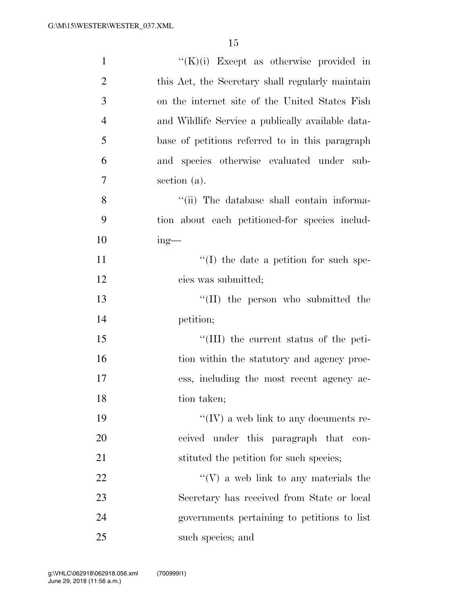| $\mathbf{1}$   | $\lq\lq(K)(i)$ Except as otherwise provided in    |
|----------------|---------------------------------------------------|
| $\overline{2}$ | this Act, the Secretary shall regularly maintain  |
| 3              | on the internet site of the United States Fish    |
| $\overline{4}$ | and Wildlife Service a publically available data- |
| 5              | base of petitions referred to in this paragraph   |
| 6              | and species otherwise evaluated under sub-        |
| 7              | section (a).                                      |
| 8              | "(ii) The database shall contain informa-         |
| 9              | tion about each petitioned-for species includ-    |
| 10             | $ing$ —                                           |
| 11             | $\lq\lq$ (I) the date a petition for such spe-    |
| 12             | cies was submitted;                               |
| 13             | $\lq\lq$ (II) the person who submitted the        |
| 14             | petition;                                         |
| 15             | "(III) the current status of the peti-            |
| 16             | tion within the statutory and agency proc-        |
| 17             | ess, including the most recent agency ac-         |
| 18             | tion taken;                                       |
| 19             | $``(IV)$ a web link to any documents re-          |
| 20             | ceived under this paragraph that con-             |
| 21             | stituted the petition for such species;           |
| 22             | $\lq\lq(V)$ a web link to any materials the       |
| 23             | Secretary has received from State or local        |
| 24             | governments pertaining to petitions to list       |
| 25             | such species; and                                 |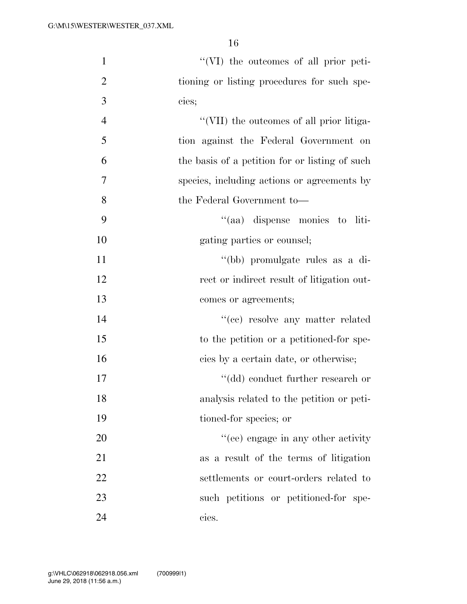| $\mathbf{1}$   | "(VI) the outcomes of all prior peti-          |
|----------------|------------------------------------------------|
| $\overline{2}$ | tioning or listing procedures for such spe-    |
| 3              | cies;                                          |
| $\overline{4}$ | "(VII) the outcomes of all prior litiga-       |
| 5              | tion against the Federal Government on         |
| 6              | the basis of a petition for or listing of such |
| 7              | species, including actions or agreements by    |
| 8              | the Federal Government to-                     |
| 9              | "(aa) dispense monies to liti-                 |
| 10             | gating parties or counsel;                     |
| 11             | "(bb) promulgate rules as a di-                |
| 12             | rect or indirect result of litigation out-     |
| 13             | comes or agreements;                           |
| 14             | $\lq\lq (ee)$ resolve any matter related       |
| 15             | to the petition or a petitioned-for spe-       |
| 16             | cies by a certain date, or otherwise;          |
| 17             | $"$ (dd) conduct further research or           |
| 18             | analysis related to the petition or peti-      |
| 19             | tioned-for species; or                         |
| 20             | "(ee) engage in any other activity             |
| 21             | as a result of the terms of litigation         |
| 22             | settlements or court-orders related to         |
| 23             | such petitions or petitioned-for spe-          |
| 24             | cies.                                          |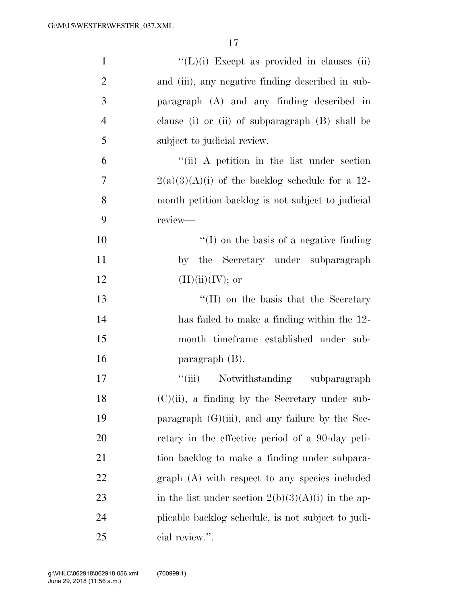| $\mathbf{1}$   | $\lq\lq(L)$ (i) Except as provided in clauses (ii)   |
|----------------|------------------------------------------------------|
| $\overline{2}$ | and (iii), any negative finding described in sub-    |
| 3              | paragraph (A) and any finding described in           |
| $\overline{4}$ | clause (i) or (ii) of subparagraph (B) shall be      |
| 5              | subject to judicial review.                          |
| 6              | $``$ (ii) A petition in the list under section       |
| $\overline{7}$ | $2(a)(3)(A)(i)$ of the backlog schedule for a 12-    |
| 8              | month petition backlog is not subject to judicial    |
| 9              | review-                                              |
| 10             | $\lq\lq$ (I) on the basis of a negative finding      |
| 11             | by the Secretary under subparagraph                  |
| 12             | $(H)(ii)(IV);$ or                                    |
| 13             | "(II) on the basis that the Secretary                |
| 14             | has failed to make a finding within the 12-          |
| 15             | month timeframe established under sub-               |
| 16             | paragraph $(B)$ .                                    |
| 17             | "(iii) Notwithstanding<br>subparagraph               |
| 18             | $(C)(ii)$ , a finding by the Secretary under sub-    |
| 19             | paragraph $(G)(iii)$ , and any failure by the Sec-   |
| 20             | retary in the effective period of a 90-day peti-     |
| 21             | tion backlog to make a finding under subpara-        |
| 22             | graph (A) with respect to any species included       |
| 23             | in the list under section $2(b)(3)(A)(i)$ in the ap- |
| 24             | plicable backlog schedule, is not subject to judi-   |
| 25             | cial review.".                                       |